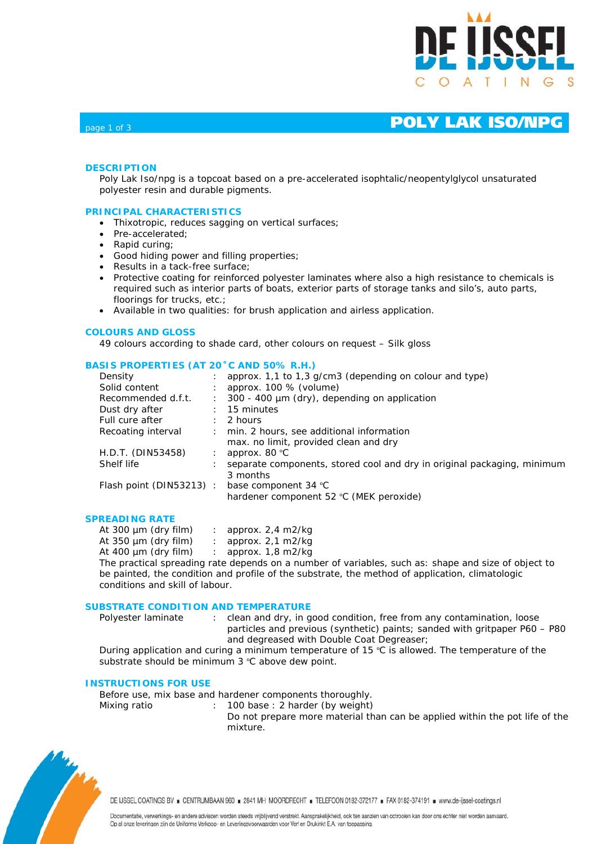

# page 1 of 3 **POLY LAK ISO/NPG**

## **DESCRIPTION**

Poly Lak Iso/npg is a topcoat based on a pre-accelerated isophtalic/neopentylglycol unsaturated polyester resin and durable pigments.

## **PRINCIPAL CHARACTERISTICS**

- Thixotropic, reduces sagging on vertical surfaces;
- Pre-accelerated:
- Rapid curing;
- Good hiding power and filling properties;
- Results in a tack-free surface;
- Protective coating for reinforced polyester laminates where also a high resistance to chemicals is required such as interior parts of boats, exterior parts of storage tanks and silo's, auto parts, floorings for trucks, etc.;
- Available in two qualities: for brush application and airless application.

#### **COLOURS AND GLOSS**

49 colours according to shade card, other colours on request – Silk gloss

## **BASIS PROPERTIES (AT 20˚C AND 50% R.H.)**

| Density                 |              | approx. 1,1 to 1,3 g/cm3 (depending on colour and type)                 |
|-------------------------|--------------|-------------------------------------------------------------------------|
| Solid content           |              | approx. 100 % (volume)                                                  |
| Recommended d.f.t.      |              | : 300 - 400 µm (dry), depending on application                          |
| Dust dry after          |              | $: 15$ minutes                                                          |
| Full cure after         | $\mathbf{L}$ | 2 hours                                                                 |
| Recoating interval      |              | : min. 2 hours, see additional information                              |
|                         |              | max. no limit, provided clean and dry                                   |
| H.D.T. (DIN53458)       | ÷            | approx. 80 °C                                                           |
| Shelf life              |              | separate components, stored cool and dry in original packaging, minimum |
|                         |              | 3 months                                                                |
| Flash point (DIN53213): |              | base component 34 °C                                                    |
|                         |              | hardener component 52 °C (MEK peroxide)                                 |
|                         |              |                                                                         |

## **SPREADING RATE**

| At 300 $\mu$ m (dry film)                        | : approx. $2,4$ m $2$ /kg     |
|--------------------------------------------------|-------------------------------|
| At $350 \mu m$ (dry film)                        | approx. 2,1 m2/kg             |
| At 400 $\mu$ m (dry film)                        | : approx. $1,8 \text{ m2/kg}$ |
| The practical spreading rate depends on a pumber |                               |

The practical spreading rate depends on a number of variables, such as: shape and size of object to be painted, the condition and profile of the substrate, the method of application, climatologic conditions and skill of labour.

## **SUBSTRATE CONDITION AND TEMPERATURE**

Polyester laminate : clean and dry, in good condition, free from any contamination, loose particles and previous (synthetic) paints; sanded with gritpaper P60 – P80 and degreased with Double Coat Degreaser;

During application and curing a minimum temperature of 15 ºC is allowed. The temperature of the substrate should be minimum 3 °C above dew point.

#### **INSTRUCTIONS FOR USE**

Before use, mix base and hardener components thoroughly.

- Mixing ratio : 100 base : 2 harder (by weight)
	- Do not prepare more material than can be applied within the pot life of the mixture.



DE IJSSEL COATINGS BV E CENTRUMBAAN 960 = 2841 MH MOORDRECHT = TELEFOON 0182-372177 = FAX 0182-374191 = www.de-ijssel-coatings.nl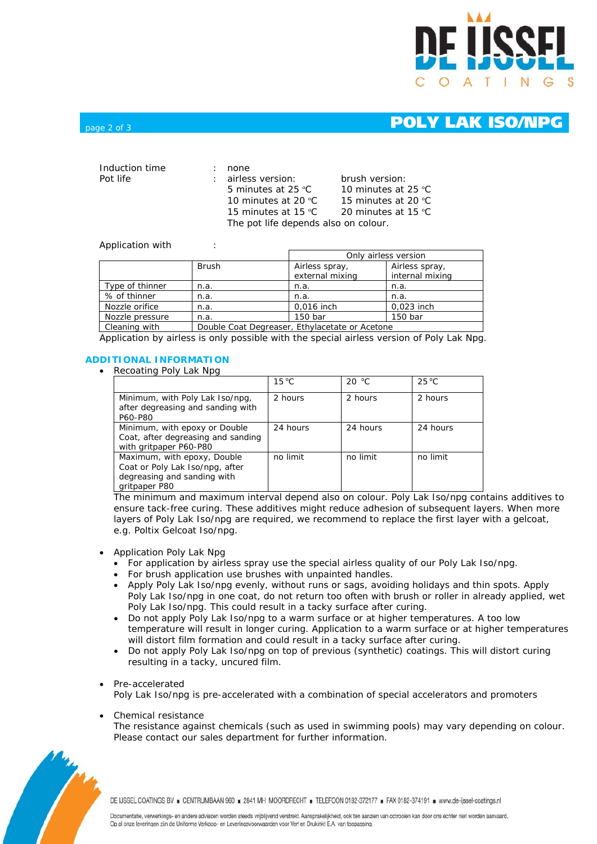

# page 2 of 3 **POLY LAK ISO/NPG**

| Induction time | none                                 |                     |  |
|----------------|--------------------------------------|---------------------|--|
| Pot life       | : airless version:                   | brush version:      |  |
|                | 5 minutes at 25 $°C$                 | 10 minutes at 25 °C |  |
|                | 10 minutes at 20 $^{\circ}$ C        | 15 minutes at 20 °C |  |
|                | 15 minutes at 15 °C                  | 20 minutes at 15 °C |  |
|                | The pot life depends also on colour. |                     |  |

## Application with :

|                 |                                                | Only airless version              |                                   |  |
|-----------------|------------------------------------------------|-----------------------------------|-----------------------------------|--|
|                 | <b>Brush</b>                                   | Airless spray,<br>external mixing | Airless spray,<br>internal mixing |  |
| Type of thinner | n.a.                                           | n.a.                              | n.a.                              |  |
| % of thinner    | n.a.                                           | n.a.                              | n.a.                              |  |
| Nozzle orifice  | n.a.                                           | 0,016 inch                        | 0,023 inch                        |  |
| Nozzle pressure | n.a.                                           | 150 bar                           | 150 bar                           |  |
| Cleaning with   | Double Coat Degreaser, Ethylacetate or Acetone |                                   |                                   |  |

Application by airless is only possible with the special airless version of Poly Lak Npg.

## **ADDITIONAL INFORMATION**

• Recoating Poly Lak Npg

|                                                                                                                | $15^{\circ}$ C | 20 °C    | $25^{\circ}$ C |
|----------------------------------------------------------------------------------------------------------------|----------------|----------|----------------|
| Minimum, with Poly Lak Iso/npg,<br>after degreasing and sanding with<br>P60-P80                                | 2 hours        | 2 hours  | 2 hours        |
| Minimum, with epoxy or Double<br>Coat, after degreasing and sanding<br>with gritpaper P60-P80                  | 24 hours       | 24 hours | 24 hours       |
| Maximum, with epoxy, Double<br>Coat or Poly Lak Iso/npg, after<br>degreasing and sanding with<br>gritpaper P80 | no limit       | no limit | no limit       |

The minimum and maximum interval depend also on colour. Poly Lak Iso/npg contains additives to ensure tack-free curing. These additives might reduce adhesion of subsequent layers. When more layers of Poly Lak Iso/npg are required, we recommend to replace the first layer with a gelcoat, e.g. Poltix Gelcoat Iso/npg.

- Application Poly Lak Npg
	- For application by airless spray use the special airless quality of our Poly Lak Iso/npg.
	- For brush application use brushes with unpainted handles.
	- Apply Poly Lak Iso/npg evenly, without runs or sags, avoiding holidays and thin spots. Apply Poly Lak Iso/npg in one coat, do not return too often with brush or roller in already applied, wet Poly Lak Iso/npg. This could result in a tacky surface after curing.
	- Do not apply Poly Lak Iso/npg to a warm surface or at higher temperatures. A too low temperature will result in longer curing. Application to a warm surface or at higher temperatures will distort film formation and could result in a tacky surface after curing.
	- Do not apply Poly Lak Iso/npg on top of previous (synthetic) coatings. This will distort curing resulting in a tacky, uncured film.

## • Pre-accelerated

Poly Lak Iso/npg is pre-accelerated with a combination of special accelerators and promoters

• Chemical resistance

The resistance against chemicals (such as used in swimming pools) may vary depending on colour. Please contact our sales department for further information.



DE IJSSEL COATINGS BV E CENTRUMBAAN 960 = 2841 MH MOORDRECHT = TELEFOON 0182-372177 = FAX 0182-374191 = www.de-ijssel-coatings.nl